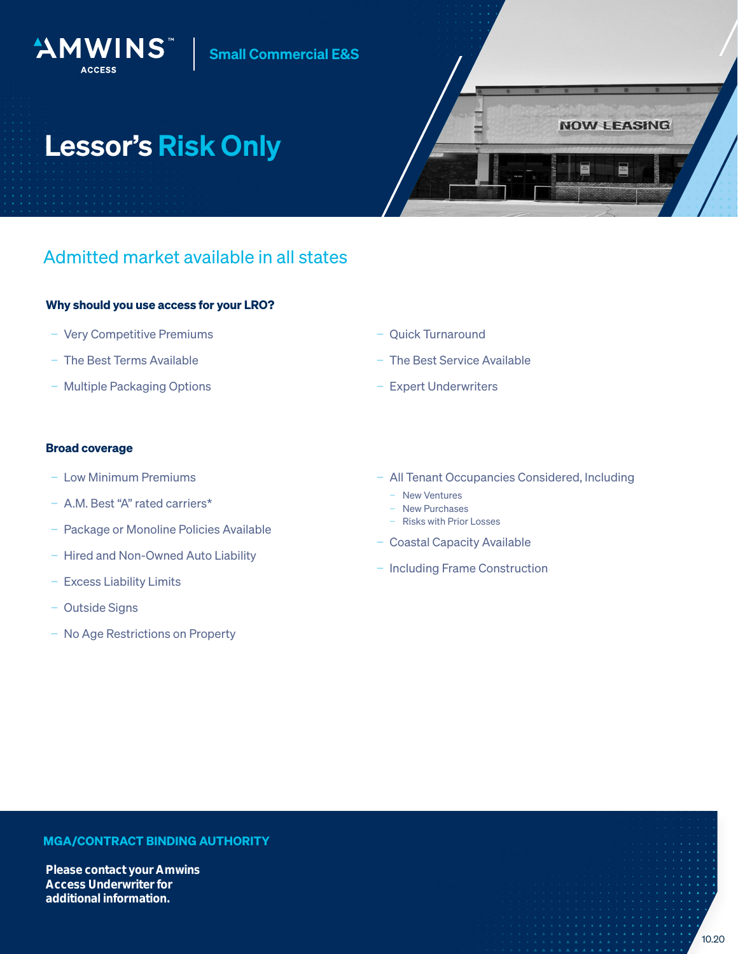### Small Commercial E&S

# Lessor's Risk Only

AMWINS



## Admitted market available in all states

#### Why should you use access for your LRO?

- − Very Competitive Premiums
- − The Best Terms Available
- − Multiple Packaging Options

#### − Quick Turnaround

- − The Best Service Available
- − Expert Underwriters

#### Broad coverage

- − Low Minimum Premiums
- − A.M. Best "A" rated carriers\*
- − Package or Monoline Policies Available
- − Hired and Non-Owned Auto Liability
- − Excess Liability Limits
- − Outside Signs
- − No Age Restrictions on Property
- − All Tenant Occupancies Considered, Including
	- − New Ventures
	- − New Purchases
	- − Risks with Prior Losses
- − Coastal Capacity Available
- − Including Frame Construction

#### MGA/CONTRACT BINDING AUTHORITY

Please contact your Amwins Access Underwriter for additional information.